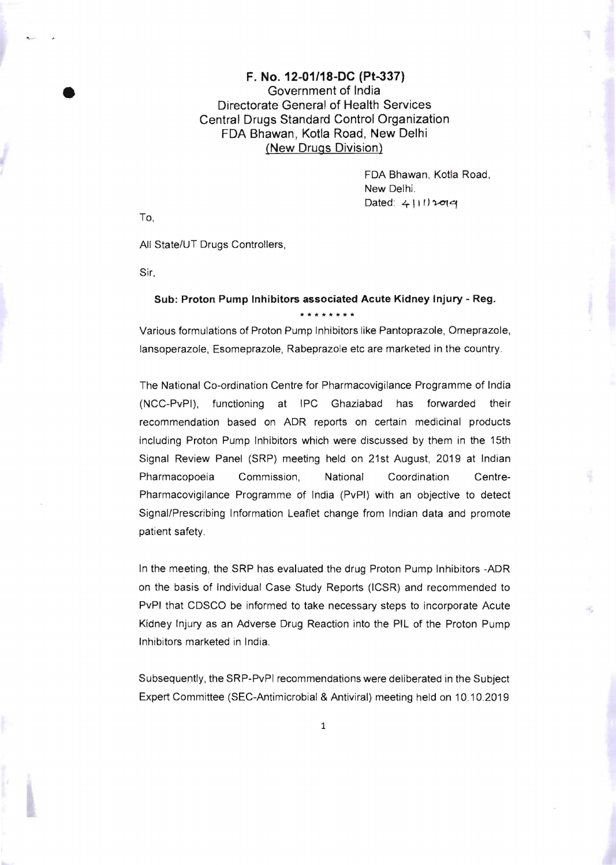## F. No. 12-01/18-DC (Pt-337) Government of India Directorate General of Health Services Central Drugs Standard Control Organization FDA Bhawan, Kotla Road, New Delhi (New Drugs Division)

FDA Shawan, Kotla Road, New Delhi.  $Dated: 4|111$   $20|4$ 

To,

•

All State/UT Drugs Controllers,

Sir.

## Sub: Proton Pump Inhibitors associated Acute Kidney Injury - Reg. **\*\*\*\*\*\*\*\***

Various formulations of Proton Pump Inhibitors like Pantoprazole, Omeprazole, lansoperazole, Esomeprazole, Rabeprazole etc are marketed in the country.

The National Co-ordination Centre for Pharmacovigilance Programme of India (NCC-PvPI), functioning at IPC Ghaziabad has forwarded their recommendation based on ADR reports on certain medicinal products including Proton Pump Inhibitors which were discussed by them in the 15th Signal Review Panel (SRP) meeting held on 21st August, 2019 at Indian Pharmacopoeia Commission. National Coordination Centre-Pharmacovigilance Programme of India (PvPI) with an objective to detect Signal/Prescribing Information Leaflet change from Indian data and promote patient safety.

In the meeting , the SRP has evaluated the drug Proton Pump Inhibitors -ADR on the basis of Individual Case Study Reports (ICSR) and recommended to PvPI that CDSCO be informed to take necessary steps to incorporate Acute Kidney Injury as an Adverse Drug Reaction into the PIL of the Proton Pump Inhibitors marketed in India.

Subsequently, the SRP-PvPI recommendations were deliberated in the Subject Expert Committee (SEC-Antimicrobial & Antiviral) meeting held on 10.10.2019

1